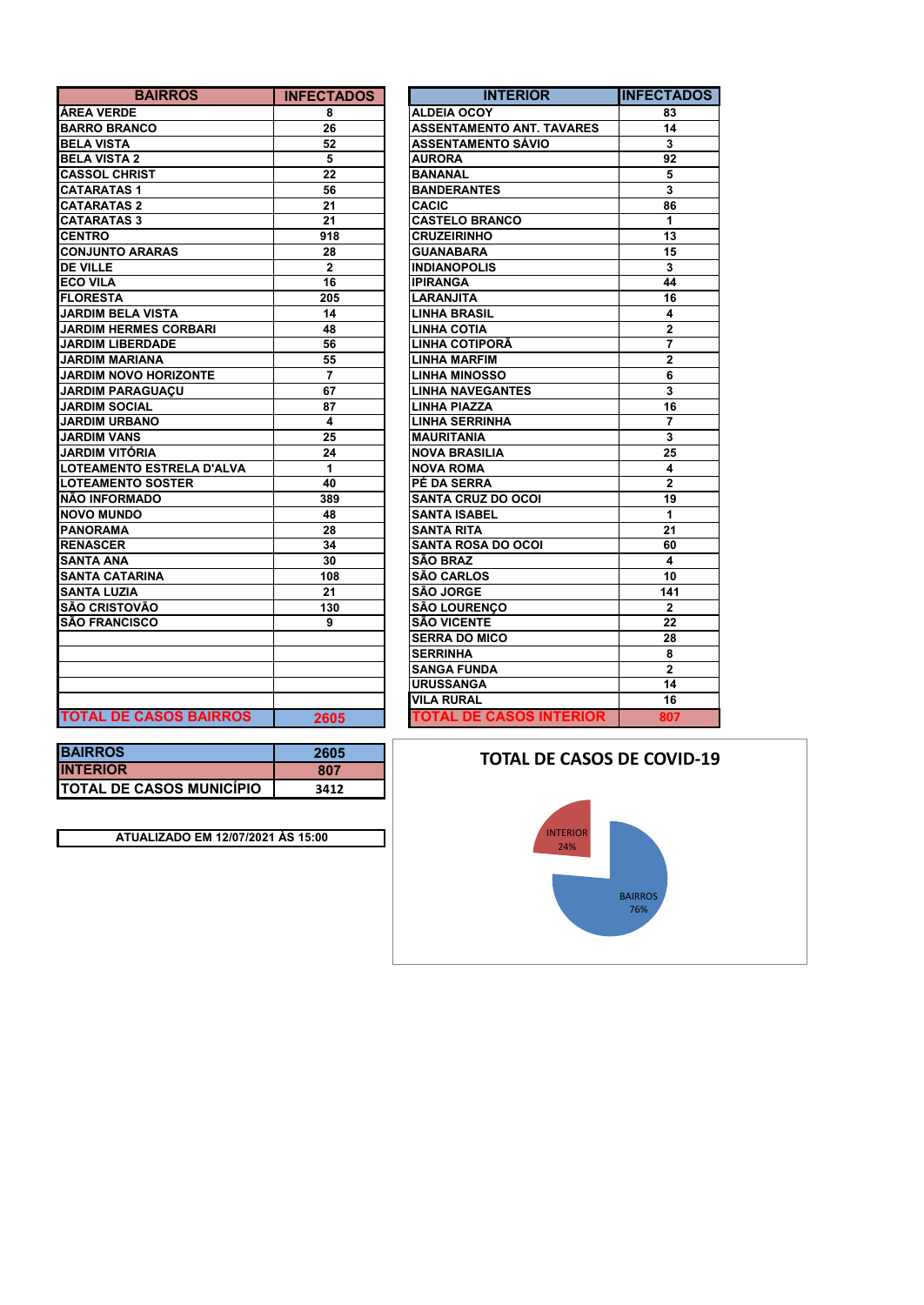| <b>BAIRROS</b>                | <b>INFECTADOS</b> | <b>INTERIOR</b>                  | <b>INFECTA</b>          |
|-------------------------------|-------------------|----------------------------------|-------------------------|
| <b>ÁREA VERDE</b>             | 8                 | <b>ALDEIA OCOY</b>               | 83                      |
| <b>BARRO BRANCO</b>           | 26                | <b>ASSENTAMENTO ANT. TAVARES</b> | 14                      |
| <b>BELA VISTA</b>             | 52                | <b>ASSENTAMENTO SÁVIO</b>        | 3                       |
| <b>BELA VISTA 2</b>           | 5                 | <b>AURORA</b>                    | 92                      |
| <b>CASSOL CHRIST</b>          | 22                | <b>BANANAL</b>                   | 5                       |
| <b>CATARATAS1</b>             | 56                | <b>BANDERANTES</b>               | $\mathbf 3$             |
| <b>CATARATAS 2</b>            | 21                | <b>CACIC</b>                     | 86                      |
| <b>CATARATAS 3</b>            | 21                | <b>CASTELO BRANCO</b>            | 1                       |
| <b>CENTRO</b>                 | 918               | <b>CRUZEIRINHO</b>               | 13                      |
| <b>CONJUNTO ARARAS</b>        | 28                | <b>GUANABARA</b>                 | 15                      |
| <b>DE VILLE</b>               | $\mathbf{2}$      | <b>INDIANOPOLIS</b>              | 3                       |
| <b>ECO VILA</b>               | 16                | <b>IPIRANGA</b>                  | 44                      |
| <b>FLORESTA</b>               | 205               | <b>LARANJITA</b>                 | 16                      |
| <b>JARDIM BELA VISTA</b>      | 14                | <b>LINHA BRASIL</b>              | 4                       |
| <b>JARDIM HERMES CORBARI</b>  | 48                | <b>LINHA COTIA</b>               | $\mathbf{2}$            |
| <b>JARDIM LIBERDADE</b>       | 56                | <b>LINHA COTIPORÃ</b>            | $\overline{7}$          |
| <b>JARDIM MARIANA</b>         | 55                | <b>LINHA MARFIM</b>              | $\overline{2}$          |
| <b>JARDIM NOVO HORIZONTE</b>  | $\overline{7}$    | <b>LINHA MINOSSO</b>             | 6                       |
| <b>JARDIM PARAGUAÇU</b>       | 67                | <b>LINHA NAVEGANTES</b>          | $\overline{\mathbf{3}}$ |
| <b>JARDIM SOCIAL</b>          | 87                | <b>LINHA PIAZZA</b>              | 16                      |
| <b>JARDIM URBANO</b>          | 4                 | <b>LINHA SERRINHA</b>            | $\overline{7}$          |
| <b>JARDIM VANS</b>            | 25                | <b>MAURITANIA</b>                | 3                       |
| <b>JARDIM VITÓRIA</b>         | 24                | <b>NOVA BRASILIA</b>             | 25                      |
| LOTEAMENTO ESTRELA D'ALVA     | 1                 | <b>NOVA ROMA</b>                 | 4                       |
| <b>LOTEAMENTO SOSTER</b>      | 40                | PÉ DA SERRA                      | $\mathbf{2}$            |
| <b>NÃO INFORMADO</b>          | 389               | <b>SANTA CRUZ DO OCOI</b>        | 19                      |
| <b>NOVO MUNDO</b>             | 48                | <b>SANTA ISABEL</b>              | $\mathbf{1}$            |
| <b>PANORAMA</b>               | 28                | <b>SANTA RITA</b>                | 21                      |
| <b>RENASCER</b>               | 34                | <b>SANTA ROSA DO OCOI</b>        | 60                      |
| <b>SANTA ANA</b>              | 30                | <b>SÃO BRAZ</b>                  | 4                       |
| <b>SANTA CATARINA</b>         | 108               | <b>SÃO CARLOS</b>                | 10                      |
| <b>SANTA LUZIA</b>            | 21                | <b>SÃO JORGE</b>                 | 141                     |
| <b>SÃO CRISTOVÃO</b>          | 130               | <b>SÃO LOURENCO</b>              | $\overline{2}$          |
| <b>SÃO FRANCISCO</b>          | 9                 | <b>SÃO VICENTE</b>               | 22                      |
|                               |                   | <b>SERRA DO MICO</b>             | 28                      |
|                               |                   | <b>SERRINHA</b>                  | 8                       |
|                               |                   | <b>SANGA FUNDA</b>               | $\overline{2}$          |
|                               |                   | <b>URUSSANGA</b>                 | 14                      |
|                               |                   | <b>VILA RURAL</b>                | 16                      |
| <b>TOTAL DE CASOS BAIRROS</b> | 2605              | <b>TOTAL DE CASOS INTERIOR</b>   | 807                     |

| <b>BAIRROS</b>                | <b>INFECTADOS</b> | <b>INTERIOR</b>                  | <b>INFECTADOS</b> |
|-------------------------------|-------------------|----------------------------------|-------------------|
| ÁREA VERDE                    | 8                 | <b>ALDEIA OCOY</b>               | 83                |
| <b>BARRO BRANCO</b>           | 26                | <b>ASSENTAMENTO ANT. TAVARES</b> | 14                |
| <b>BELA VISTA</b>             | 52                | <b>ASSENTAMENTO SÁVIO</b>        | 3                 |
| <b>BELA VISTA 2</b>           | 5                 | <b>AURORA</b>                    | 92                |
| <b>CASSOL CHRIST</b>          | 22                | <b>BANANAL</b>                   | 5                 |
| <b>CATARATAS 1</b>            | 56                | <b>BANDERANTES</b>               | 3                 |
| CATARATAS 2                   | 21                | <b>CACIC</b>                     | 86                |
| <b>CATARATAS 3</b>            | 21                | <b>CASTELO BRANCO</b>            | 1                 |
| <b>CENTRO</b>                 | 918               | <b>CRUZEIRINHO</b>               | 13                |
| <b>CONJUNTO ARARAS</b>        | 28                | <b>GUANABARA</b>                 | 15                |
| <b>DE VILLE</b>               | $\mathbf{2}$      | <b>INDIANOPOLIS</b>              | 3                 |
| <b>ECO VILA</b>               | 16                | <b>IPIRANGA</b>                  | 44                |
| FLORESTA                      | 205               | <b>LARANJITA</b>                 | 16                |
| <b>JARDIM BELA VISTA</b>      | 14                | <b>LINHA BRASIL</b>              | 4                 |
| <b>JARDIM HERMES CORBARI</b>  | 48                | <b>LINHA COTIA</b>               | $\mathbf{2}$      |
| <b>JARDIM LIBERDADE</b>       | 56                | LINHA COTIPORÃ                   | $\overline{7}$    |
| JARDIM MARIANA                | 55                | <b>LINHA MARFIM</b>              | $\overline{2}$    |
| <b>JARDIM NOVO HORIZONTE</b>  | $\overline{7}$    | <b>LINHA MINOSSO</b>             | 6                 |
| <b>JARDIM PARAGUAÇU</b>       | 67                | <b>LINHA NAVEGANTES</b>          | 3                 |
| JARDIM SOCIAL                 | 87                | <b>LINHA PIAZZA</b>              | 16                |
| <b>JARDIM URBANO</b>          | 4                 | <b>LINHA SERRINHA</b>            | $\overline{7}$    |
| <b>JARDIM VANS</b>            | 25                | <b>MAURITANIA</b>                | 3                 |
| JARDIM VITÓRIA                | 24                | <b>NOVA BRASILIA</b>             | 25                |
| LOTEAMENTO ESTRELA D'ALVA     | 1                 | <b>NOVA ROMA</b>                 | 4                 |
| <b>LOTEAMENTO SOSTER</b>      | 40                | PÉ DA SERRA                      | $\mathbf{2}$      |
| NÃO INFORMADO                 | 389               | <b>SANTA CRUZ DO OCOI</b>        | 19                |
| <b>NOVO MUNDO</b>             | 48                | <b>SANTA ISABEL</b>              | 1                 |
| PANORAMA                      | 28                | <b>SANTA RITA</b>                | 21                |
| <b>RENASCER</b>               | 34                | <b>SANTA ROSA DO OCOI</b>        | 60                |
| SANTA ANA                     | 30                | <b>SÃO BRAZ</b>                  | 4                 |
| <b>SANTA CATARINA</b>         | 108               | <b>SÃO CARLOS</b>                | 10                |
| SANTA LUZIA                   | 21                | SÃO JORGE                        | 141               |
| SÃO CRISTOVÃO                 | 130               | <b>SÃO LOURENÇO</b>              | $\mathbf{2}$      |
| <b>SÃO FRANCISCO</b>          | 9                 | <b>SÃO VICENTE</b>               | 22                |
|                               |                   | <b>SERRA DO MICO</b>             | 28                |
|                               |                   | <b>SERRINHA</b>                  | 8                 |
|                               |                   | <b>SANGA FUNDA</b>               | $\overline{2}$    |
|                               |                   | <b>URUSSANGA</b>                 | 14                |
|                               |                   | <b>VILA RURAL</b>                | 16                |
| <b>TOTAL DE CASOS BAIRROS</b> | 2605              | <b>TOTAL DE CASOS INTERIOR</b>   | 807               |

| <b>BAIRROS</b>                   | 2605 |
|----------------------------------|------|
| <b>INTERIOR</b>                  | 807  |
| <b>ITOTAL DE CASOS MUNICÍPIO</b> | 3412 |

**ATUALIZADO EM 12/07/2021 ÀS 15:00**

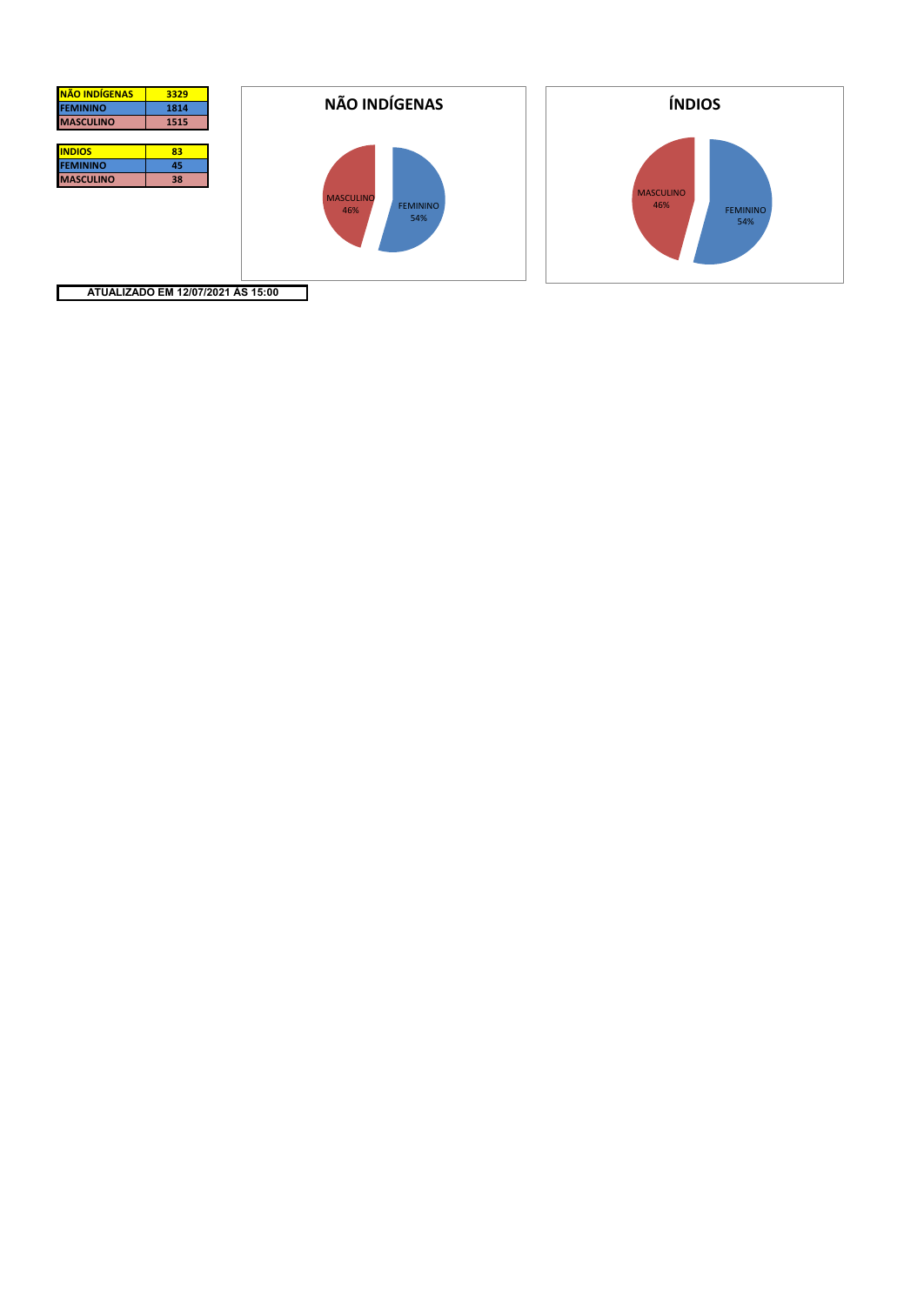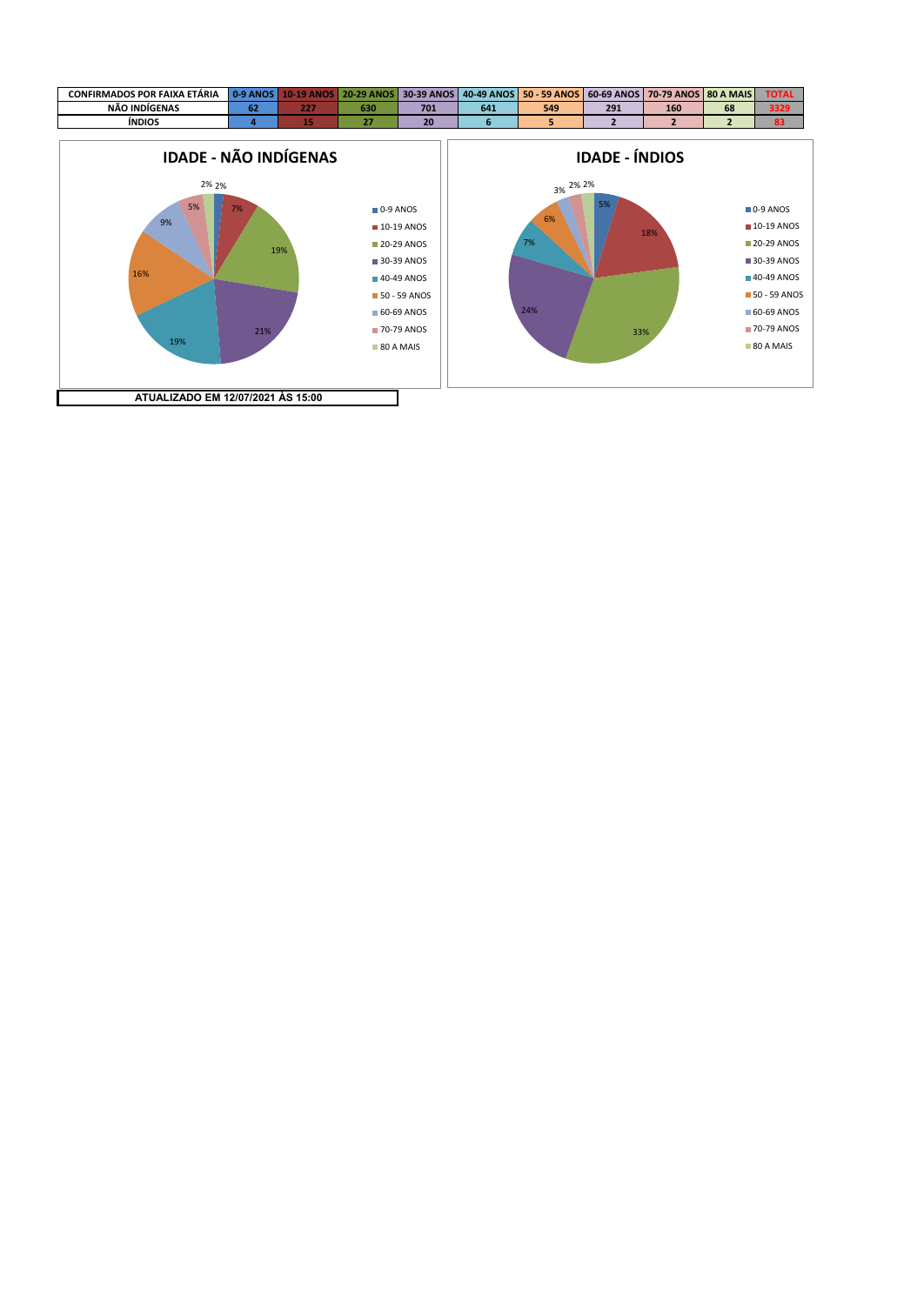



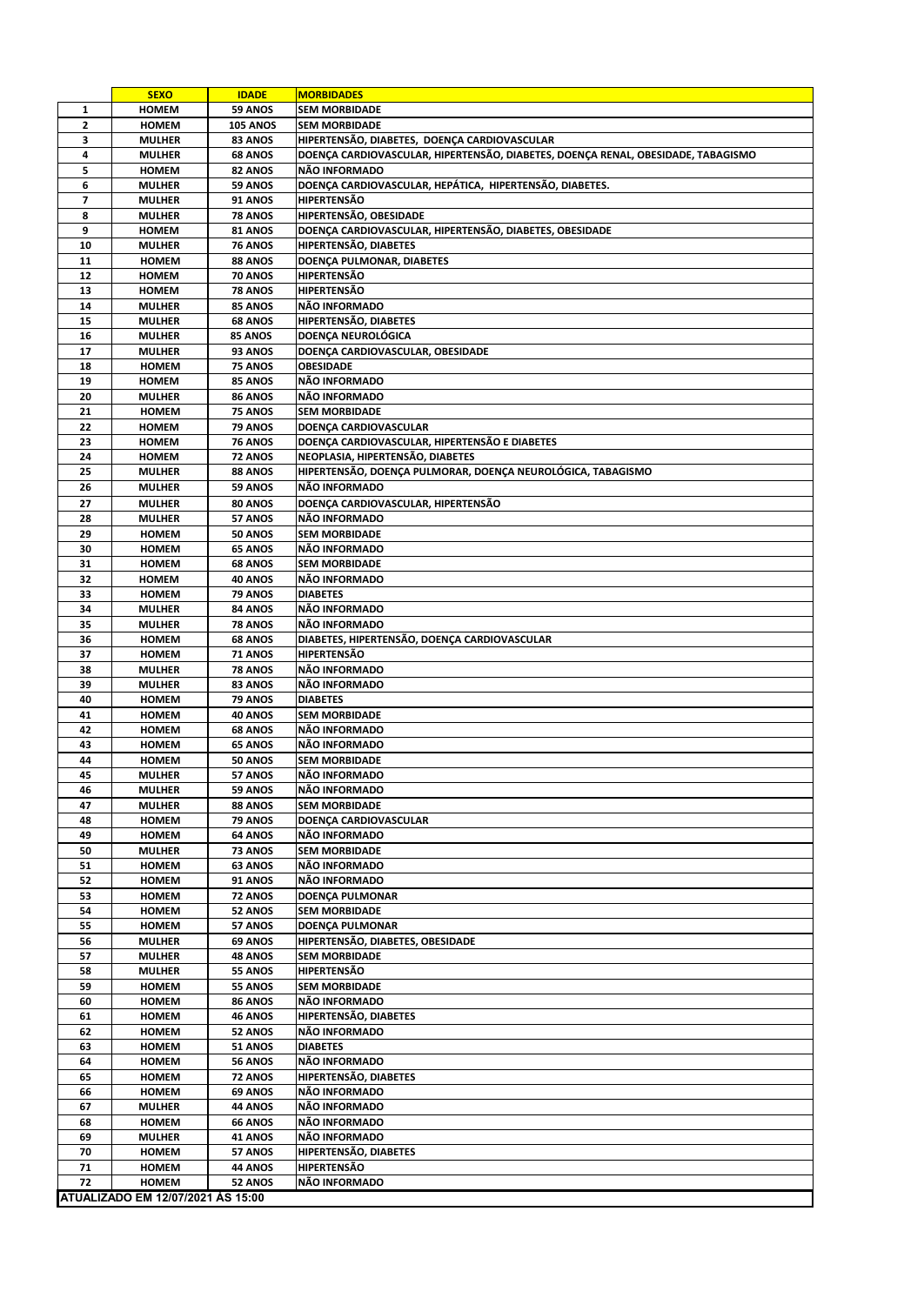|          | <b>SEXO</b>                       | <b>IDADE</b>                     | <b>MORBIDADES</b>                                                                |
|----------|-----------------------------------|----------------------------------|----------------------------------------------------------------------------------|
| 1        | <b>HOMEM</b>                      | 59 ANOS                          | <b>SEM MORBIDADE</b>                                                             |
| 2        | <b>HOMEM</b>                      | <b>105 ANOS</b>                  | <b>SEM MORBIDADE</b>                                                             |
| 3        | <b>MULHER</b>                     | 83 ANOS                          | HIPERTENSÃO, DIABETES, DOENÇA CARDIOVASCULAR                                     |
| 4        | <b>MULHER</b>                     | <b>68 ANOS</b>                   | DOENÇA CARDIOVASCULAR, HIPERTENSÃO, DIABETES, DOENÇA RENAL, OBESIDADE, TABAGISMO |
| 5        | <b>HOMEM</b>                      | 82 ANOS                          | NÃO INFORMADO                                                                    |
| 6        | <b>MULHER</b>                     | 59 ANOS                          | DOENÇA CARDIOVASCULAR, HEPÁTICA, HIPERTENSÃO, DIABETES.                          |
| 7        | <b>MULHER</b>                     | 91 ANOS                          | <b>HIPERTENSÃO</b>                                                               |
| 8        | <b>MULHER</b>                     | 78 ANOS                          | HIPERTENSÃO, OBESIDADE                                                           |
| 9        | <b>HOMEM</b>                      | 81 ANOS                          | DOENÇA CARDIOVASCULAR, HIPERTENSÃO, DIABETES, OBESIDADE                          |
| 10<br>11 | <b>MULHER</b><br><b>HOMEM</b>     | 76 ANOS                          | HIPERTENSÃO, DIABETES<br>DOENÇA PULMONAR, DIABETES                               |
| 12       | <b>HOMEM</b>                      | 88 ANOS<br>70 ANOS               | HIPERTENSÃO                                                                      |
| 13       | <b>HOMEM</b>                      | <b>78 ANOS</b>                   | HIPERTENSÃO                                                                      |
| 14       | <b>MULHER</b>                     | 85 ANOS                          | NÃO INFORMADO                                                                    |
| 15       | <b>MULHER</b>                     | 68 ANOS                          | HIPERTENSÃO, DIABETES                                                            |
| 16       | <b>MULHER</b>                     | 85 ANOS                          | <b>DOENÇA NEUROLÓGICA</b>                                                        |
| 17       | <b>MULHER</b>                     | 93 ANOS                          | DOENÇA CARDIOVASCULAR, OBESIDADE                                                 |
| 18       | <b>HOMEM</b>                      | 75 ANOS                          | <b>OBESIDADE</b>                                                                 |
| 19       | <b>HOMEM</b>                      | 85 ANOS                          | NÃO INFORMADO                                                                    |
| 20       | <b>MULHER</b>                     | <b>86 ANOS</b>                   | NÃO INFORMADO                                                                    |
| 21       | <b>HOMEM</b>                      | 75 ANOS                          | <b>SEM MORBIDADE</b>                                                             |
| 22       | <b>HOMEM</b>                      | <b>79 ANOS</b>                   | DOENÇA CARDIOVASCULAR                                                            |
| 23       | <b>HOMEM</b>                      | <b>76 ANOS</b>                   | DOENÇA CARDIOVASCULAR, HIPERTENSÃO E DIABETES                                    |
| 24       | <b>HOMEM</b>                      | 72 ANOS                          | NEOPLASIA, HIPERTENSÃO, DIABETES                                                 |
| 25       | <b>MULHER</b>                     | 88 ANOS                          | HIPERTENSÃO, DOENÇA PULMORAR, DOENÇA NEUROLÓGICA, TABAGISMO                      |
| 26       | <b>MULHER</b>                     | <b>59 ANOS</b>                   | NÃO INFORMADO                                                                    |
| 27       | <b>MULHER</b>                     | 80 ANOS                          | DOENÇA CARDIOVASCULAR, HIPERTENSÃO                                               |
| 28       | <b>MULHER</b>                     | 57 ANOS                          | NÃO INFORMADO                                                                    |
| 29       | <b>HOMEM</b>                      | 50 ANOS                          | <b>SEM MORBIDADE</b>                                                             |
| 30       | <b>HOMEM</b>                      | 65 ANOS                          | NÃO INFORMADO                                                                    |
| 31       | <b>HOMEM</b>                      | 68 ANOS                          | <b>SEM MORBIDADE</b>                                                             |
| 32       | <b>HOMEM</b>                      | 40 ANOS                          | NÃO INFORMADO                                                                    |
| 33       | <b>HOMEM</b>                      | 79 ANOS                          | <b>DIABETES</b><br>NÃO INFORMADO                                                 |
| 34<br>35 | <b>MULHER</b><br><b>MULHER</b>    | <b>84 ANOS</b><br><b>78 ANOS</b> | NÃO INFORMADO                                                                    |
| 36       | HOMEM                             | 68 ANOS                          | DIABETES, HIPERTENSÃO, DOENÇA CARDIOVASCULAR                                     |
| 37       | <b>HOMEM</b>                      | <b>71 ANOS</b>                   | HIPERTENSÃO                                                                      |
| 38       | <b>MULHER</b>                     | 78 ANOS                          | NÃO INFORMADO                                                                    |
| 39       | <b>MULHER</b>                     | 83 ANOS                          | NÃO INFORMADO                                                                    |
| 40       | <b>HOMEM</b>                      | 79 ANOS                          | <b>DIABETES</b>                                                                  |
| 41       | <b>HOMEM</b>                      | 40 ANOS                          | <b>SEM MORBIDADE</b>                                                             |
| 42       | <b>HOMEM</b>                      | 68 ANOS                          | NÃO INFORMADO                                                                    |
| 43       | HOMEM                             | 65 ANOS                          | NÃO INFORMADO                                                                    |
| 44       | <b>HOMEM</b>                      | 50 ANOS                          | <b>SEM MORBIDADE</b>                                                             |
| 45       | <b>MULHER</b>                     | 57 ANOS                          | NÃO INFORMADO                                                                    |
| 46       | <b>MULHER</b>                     | 59 ANOS                          | NÃO INFORMADO                                                                    |
| 47       | <b>MULHER</b>                     | 88 ANOS                          | <b>SEM MORBIDADE</b>                                                             |
| 48       | <b>HOMEM</b>                      | 79 ANOS                          | DOENÇA CARDIOVASCULAR                                                            |
| 49       | HOMEM                             | 64 ANOS                          | NÃO INFORMADO                                                                    |
| 50       | <b>MULHER</b>                     | 73 ANOS                          | <b>SEM MORBIDADE</b>                                                             |
| 51       | HOMEM                             | 63 ANOS                          | NÃO INFORMADO                                                                    |
| 52<br>53 | <b>HOMEM</b><br><b>HOMEM</b>      | 91 ANOS<br>72 ANOS               | NÃO INFORMADO<br>DOENÇA PULMONAR                                                 |
| 54       | HOMEM                             | 52 ANOS                          | <b>SEM MORBIDADE</b>                                                             |
| 55       | HOMEM                             | 57 ANOS                          | DOENÇA PULMONAR                                                                  |
| 56       | <b>MULHER</b>                     | <b>69 ANOS</b>                   | HIPERTENSÃO, DIABETES, OBESIDADE                                                 |
| 57       | <b>MULHER</b>                     | <b>48 ANOS</b>                   | <b>SEM MORBIDADE</b>                                                             |
| 58       | <b>MULHER</b>                     | <b>55 ANOS</b>                   | HIPERTENSÃO                                                                      |
| 59       | HOMEM                             | <b>55 ANOS</b>                   | <b>SEM MORBIDADE</b>                                                             |
| 60       | <b>HOMEM</b>                      | 86 ANOS                          | NÃO INFORMADO                                                                    |
| 61       | HOMEM                             | <b>46 ANOS</b>                   | HIPERTENSÃO, DIABETES                                                            |
| 62       | HOMEM                             | 52 ANOS                          | NÃO INFORMADO                                                                    |
| 63       | HOMEM                             | 51 ANOS                          | <b>DIABETES</b>                                                                  |
| 64       | <b>HOMEM</b>                      | <b>56 ANOS</b>                   | NÃO INFORMADO                                                                    |
| 65       | HOMEM                             | 72 ANOS                          | HIPERTENSÃO, DIABETES                                                            |
| 66       | HOMEM                             | 69 ANOS                          | NÃO INFORMADO                                                                    |
| 67       | <b>MULHER</b>                     | 44 ANOS                          | NÃO INFORMADO                                                                    |
| 68       | HOMEM                             | 66 ANOS                          | NÃO INFORMADO                                                                    |
| 69       | <b>MULHER</b>                     | 41 ANOS                          | NÃO INFORMADO                                                                    |
| 70       | HOMEM                             | 57 ANOS                          | HIPERTENSÃO, DIABETES<br>HIPERTENSÃO                                             |
| 71<br>72 | HOMEM<br><b>HOMEM</b>             | 44 ANOS<br><b>52 ANOS</b>        | NÃO INFORMADO                                                                    |
|          | ATUALIZADO EM 12/07/2021 ÀS 15:00 |                                  |                                                                                  |
|          |                                   |                                  |                                                                                  |